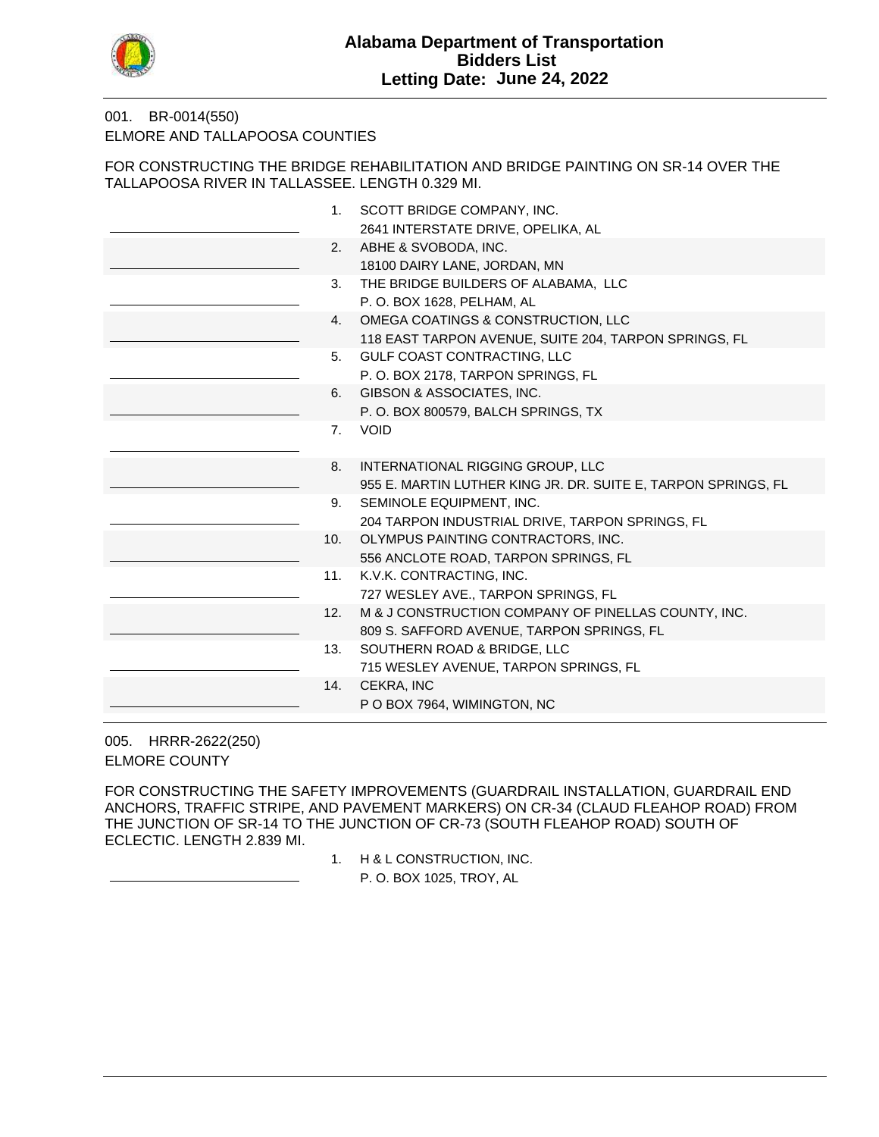

### BR-0014(550) 001. ELMORE AND TALLAPOOSA COUNTIES

FOR CONSTRUCTING THE BRIDGE REHABILITATION AND BRIDGE PAINTING ON SR-14 OVER THE TALLAPOOSA RIVER IN TALLASSEE. LENGTH 0.329 MI.

| 1.  | SCOTT BRIDGE COMPANY, INC.                                    |
|-----|---------------------------------------------------------------|
|     | 2641 INTERSTATE DRIVE, OPELIKA, AL                            |
| 2.  | ABHE & SVOBODA, INC.                                          |
|     | 18100 DAIRY LANE, JORDAN, MN                                  |
| 3.  | THE BRIDGE BUILDERS OF ALABAMA, LLC                           |
|     | P.O. BOX 1628, PELHAM, AL                                     |
| 4.  | OMEGA COATINGS & CONSTRUCTION, LLC                            |
|     | 118 EAST TARPON AVENUE, SUITE 204, TARPON SPRINGS, FL         |
| 5.  | GULF COAST CONTRACTING, LLC                                   |
|     | P.O. BOX 2178, TARPON SPRINGS, FL                             |
| 6.  | GIBSON & ASSOCIATES, INC.                                     |
|     | P.O. BOX 800579, BALCH SPRINGS, TX                            |
| 7.  | <b>VOID</b>                                                   |
|     |                                                               |
| 8.  | INTERNATIONAL RIGGING GROUP, LLC                              |
|     | 955 E. MARTIN LUTHER KING JR. DR. SUITE E, TARPON SPRINGS, FL |
| 9.  | SEMINOLE EQUIPMENT, INC.                                      |
|     | 204 TARPON INDUSTRIAL DRIVE, TARPON SPRINGS, FL               |
| 10. | OLYMPUS PAINTING CONTRACTORS, INC.                            |
|     | 556 ANCLOTE ROAD, TARPON SPRINGS, FL                          |
| 11. | K.V.K. CONTRACTING, INC.                                      |
|     | 727 WESLEY AVE., TARPON SPRINGS, FL                           |
| 12. | M & J CONSTRUCTION COMPANY OF PINELLAS COUNTY, INC.           |
|     | 809 S. SAFFORD AVENUE, TARPON SPRINGS, FL                     |
| 13. | SOUTHERN ROAD & BRIDGE, LLC                                   |
|     | 715 WESLEY AVENUE, TARPON SPRINGS, FL                         |
| 14. | CEKRA, INC                                                    |
|     | P O BOX 7964, WIMINGTON, NC                                   |
|     |                                                               |

HRRR-2622(250) 005. ELMORE COUNTY

FOR CONSTRUCTING THE SAFETY IMPROVEMENTS (GUARDRAIL INSTALLATION, GUARDRAIL END ANCHORS, TRAFFIC STRIPE, AND PAVEMENT MARKERS) ON CR-34 (CLAUD FLEAHOP ROAD) FROM THE JUNCTION OF SR-14 TO THE JUNCTION OF CR-73 (SOUTH FLEAHOP ROAD) SOUTH OF ECLECTIC. LENGTH 2.839 MI.

1. H & L CONSTRUCTION, INC.

P. O. BOX 1025, TROY, AL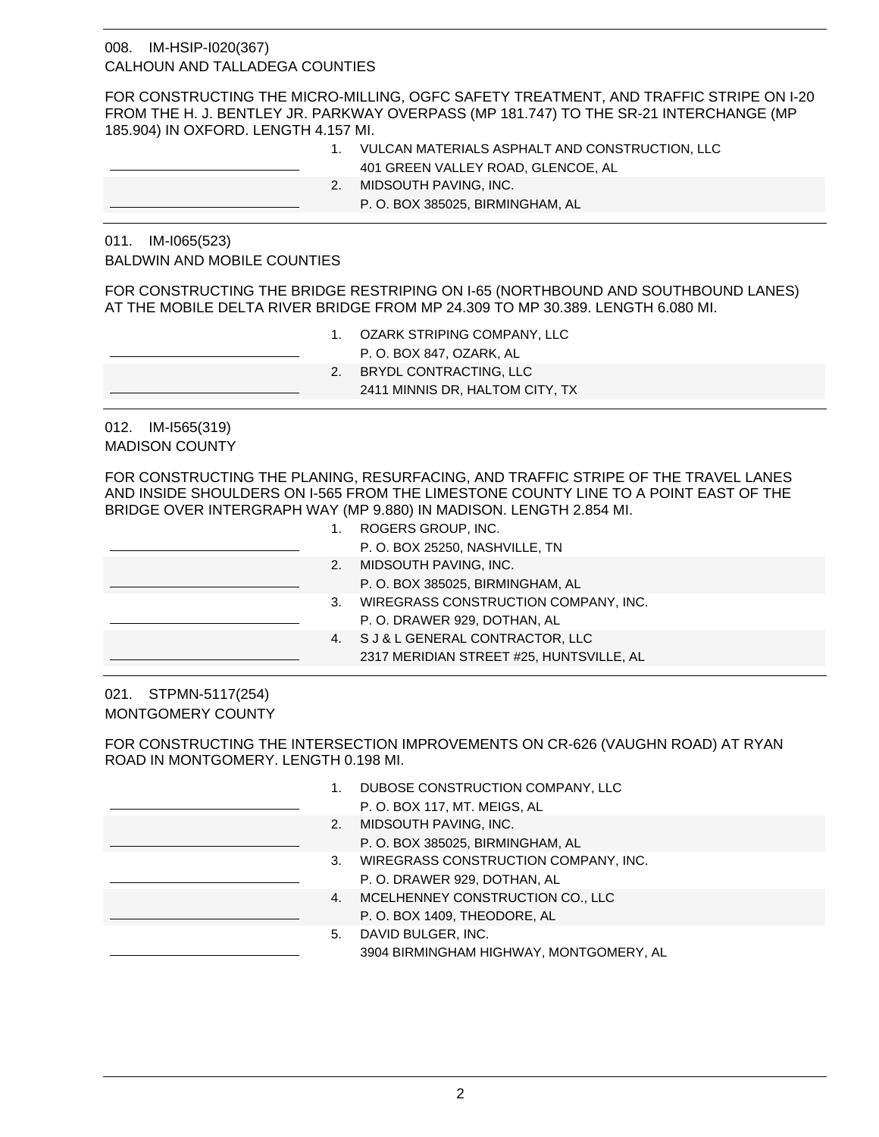# 008. IM-HSIP-I020(367) CALHOUN AND TALLADEGA COUNTIES

FOR CONSTRUCTING THE MICRO-MILLING, OGFC SAFETY TREATMENT, AND TRAFFIC STRIPE ON I-20 FROM THE H. J. BENTLEY JR. PARKWAY OVERPASS (MP 181.747) TO THE SR-21 INTERCHANGE (MP 185.904) IN OXFORD. LENGTH 4.157 MI.

1. VULCAN MATERIALS ASPHALT AND CONSTRUCTION, LLC 401 GREEN VALLEY ROAD, GLENCOE, AL 2. MIDSOUTH PAVING, INC. P. O. BOX 385025, BIRMINGHAM, AL

### 011. IM-I065(523) BALDWIN AND MOBILE COUNTIES

FOR CONSTRUCTING THE BRIDGE RESTRIPING ON I-65 (NORTHBOUND AND SOUTHBOUND LANES) AT THE MOBILE DELTA RIVER BRIDGE FROM MP 24.309 TO MP 30.389. LENGTH 6.080 MI.

- 1. OZARK STRIPING COMPANY, LLC
	- P. O. BOX 847, OZARK, AL
- 2. BRYDL CONTRACTING, LLC
	- 2411 MINNIS DR, HALTOM CITY, TX

012. IM-I565(319) MADISON COUNTY

FOR CONSTRUCTING THE PLANING, RESURFACING, AND TRAFFIC STRIPE OF THE TRAVEL LANES AND INSIDE SHOULDERS ON I-565 FROM THE LIMESTONE COUNTY LINE TO A POINT EAST OF THE BRIDGE OVER INTERGRAPH WAY (MP 9.880) IN MADISON. LENGTH 2.854 MI.

|    | ROGERS GROUP, INC.                       |
|----|------------------------------------------|
|    | P.O. BOX 25250, NASHVILLE, TN            |
| 2. | MIDSOUTH PAVING, INC.                    |
|    | P.O. BOX 385025, BIRMINGHAM, AL          |
| 3. | WIREGRASS CONSTRUCTION COMPANY, INC.     |
|    | P.O. DRAWER 929, DOTHAN, AL              |
| 4. | S J & L GENERAL CONTRACTOR, LLC          |
|    | 2317 MERIDIAN STREET #25, HUNTSVILLE, AL |
|    |                                          |

021. STPMN-5117(254) MONTGOMERY COUNTY

FOR CONSTRUCTING THE INTERSECTION IMPROVEMENTS ON CR-626 (VAUGHN ROAD) AT RYAN ROAD IN MONTGOMERY. LENGTH 0.198 MI.

| DUBOSE CONSTRUCTION COMPANY, LLC |
|----------------------------------|
|                                  |

- P. O. BOX 117, MT. MEIGS, AL
- 2. MIDSOUTH PAVING, INC. P. O. BOX 385025, BIRMINGHAM, AL
- 3. WIREGRASS CONSTRUCTION COMPANY, INC. P. O. DRAWER 929, DOTHAN, AL
- 4. MCELHENNEY CONSTRUCTION CO., LLC P. O. BOX 1409, THEODORE, AL
- 5. DAVID BULGER, INC. 3904 BIRMINGHAM HIGHWAY, MONTGOMERY, AL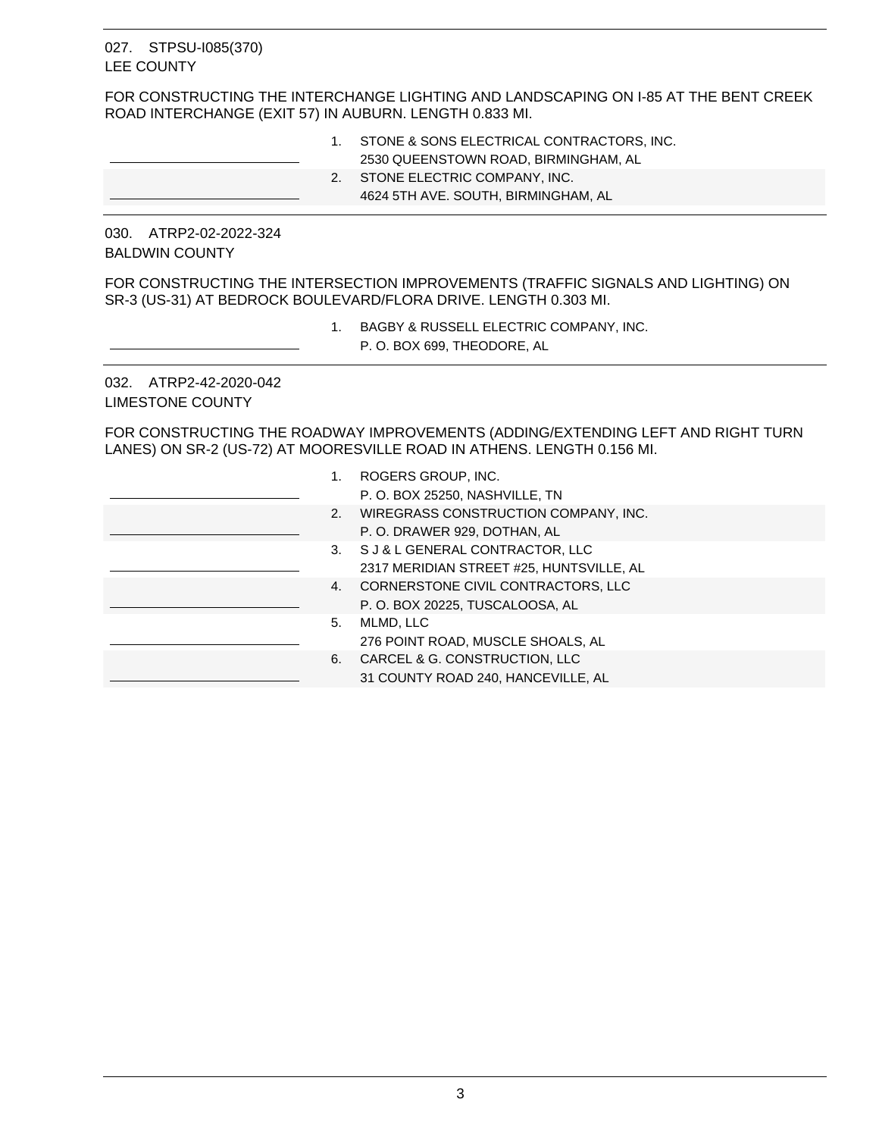#### 027. STPSU-1085(370) LEE COUNTY

FOR CONSTRUCTING THE INTERCHANGE LIGHTING AND LANDSCAPING ON I-85 AT THE BENT CREEK ROAD INTERCHANGE (EXIT 57) IN AUBURN. LENGTH 0.833 MI.

- 1. STONE & SONS ELECTRICAL CONTRACTORS, INC. 2530 QUEENSTOWN ROAD, BIRMINGHAM, AL
- 2. STONE ELECTRIC COMPANY, INC.
	- 4624 5TH AVE. SOUTH, BIRMINGHAM, AL

030. ATRP2-02-2022-324 BALDWIN COUNTY

FOR CONSTRUCTING THE INTERSECTION IMPROVEMENTS (TRAFFIC SIGNALS AND LIGHTING) ON SR-3 (US-31) AT BEDROCK BOULEVARD/FLORA DRIVE. LENGTH 0.303 MI.

- 1. BAGBY & RUSSELL ELECTRIC COMPANY, INC.
	- P. O. BOX 699, THEODORE, AL

032. ATRP2-42-2020-042 LIMESTONE COUNTY

FOR CONSTRUCTING THE ROADWAY IMPROVEMENTS (ADDING/EXTENDING LEFT AND RIGHT TURN LANES) ON SR-2 (US-72) AT MOORESVILLE ROAD IN ATHENS. LENGTH 0.156 MI.

| 1. | ROGERS GROUP, INC.                       |
|----|------------------------------------------|
|    | P.O. BOX 25250, NASHVILLE, TN            |
| 2. | WIREGRASS CONSTRUCTION COMPANY, INC.     |
|    | P.O. DRAWER 929, DOTHAN, AL              |
|    | 3. S J & L GENERAL CONTRACTOR, LLC       |
|    | 2317 MERIDIAN STREET #25, HUNTSVILLE, AL |
| 4. | CORNERSTONE CIVIL CONTRACTORS, LLC       |
|    | P.O. BOX 20225, TUSCALOOSA, AL           |
| 5. | MLMD, LLC                                |
|    | 276 POINT ROAD, MUSCLE SHOALS, AL        |
| 6. | CARCEL & G. CONSTRUCTION, LLC            |
|    | 31 COUNTY ROAD 240, HANCEVILLE, AL       |